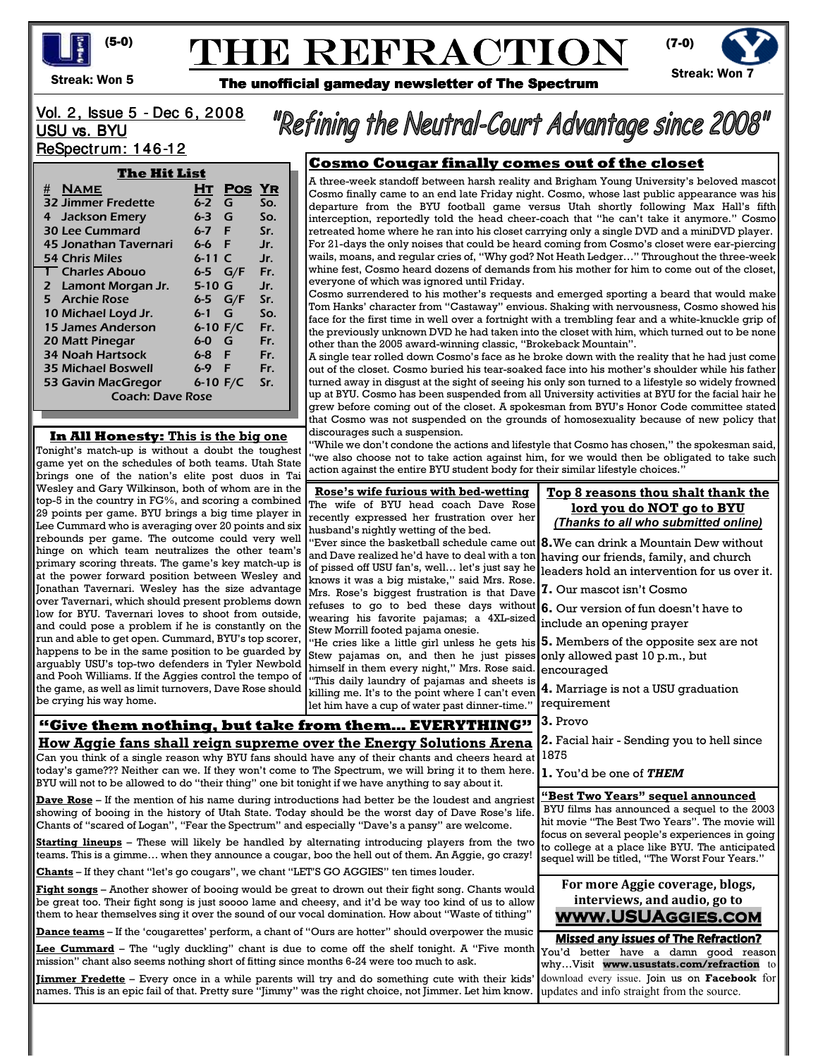

# THE REFRACTION



Streak: Won 5

The unofficial gameday newsletter of The Spectrum

# Vol. 2, Issue 5 - Dec 6, 2008 USU vs. BYU ReSpectrum: 146-12

| The Hit List              |            |            |     |
|---------------------------|------------|------------|-----|
|                           | Hт         | <b>Pos</b> | YR  |
| <b>32 Jimmer Fredette</b> | $6 - 2$    | G          | So. |
| 4 Jackson Emery           | 6-3        | G          | So. |
| <b>30 Lee Cummard</b>     | 6-7 F      |            | Sr. |
| 45 Jonathan Tavernari     | 6-6        | E          | Jr. |
| 54 Chris Miles            | $6 - 11$ C |            | Jr. |
| 1 Charles Abouo           | 6-5        | G/F        | Fr. |
| 2 Lamont Morgan Jr.       | 5-10 G     |            | Jr. |
| 5 Archie Rose             | 6-5        | G/F        | Sr. |
| 10 Michael Loyd Jr.       | 6-1        | G          | So. |
| 15 James Anderson         | 6-10 $F/C$ |            | Fr. |
| 20 Matt Pinegar           | 6-0        | G          | Fr. |
| <b>34 Noah Hartsock</b>   | 6-8 F      |            | Fr. |
| <b>35 Michael Boswell</b> | 6-9        | - F        | Fr. |
| 53 Gavin MacGregor        | 6-10 $F/C$ |            | Sr. |
| <b>Coach: Dave Rose</b>   |            |            |     |

## **In All Honesty: This is the big one**

Tonight's match-up is without a doubt the toughest game yet on the schedules of both teams. Utah State brings one of the nation's elite post duos in Tai Wesley and Gary Wilkinson, both of whom are in the top-5 in the country in FG%, and scoring a combined 29 points per game. BYU brings a big time player in Lee Cummard who is averaging over 20 points and six rebounds per game. The outcome could very well hinge on which team neutralizes the other team's primary scoring threats. The game's key match-up is at the power forward position between Wesley and Jonathan Tavernari. Wesley has the size advantage over Tavernari, which should present problems down low for BYU. Tavernari loves to shoot from outside, and could pose a problem if he is constantly on the run and able to get open. Cummard, BYU's top scorer, happens to be in the same position to be guarded by arguably USU's top-two defenders in Tyler Newbold and Pooh Williams. If the Aggies control the tempo of the game, as well as limit turnovers, Dave Rose should be crying his way home.

# **Cosmo Cougar finally comes out of the closet**

"Refining the Neutral-Court Advantage since 2008"

A three-week standoff between harsh reality and Brigham Young University's beloved mascot Cosmo finally came to an end late Friday night. Cosmo, whose last public appearance was his departure from the BYU football game versus Utah shortly following Max Hall's fifth interception, reportedly told the head cheer-coach that "he can't take it anymore." Cosmo retreated home where he ran into his closet carrying only a single DVD and a miniDVD player. For 21-days the only noises that could be heard coming from Cosmo's closet were ear-piercing wails, moans, and regular cries of, "Why god? Not Heath Ledger…" Throughout the three-week whine fest, Cosmo heard dozens of demands from his mother for him to come out of the closet, everyone of which was ignored until Friday.

Cosmo surrendered to his mother's requests and emerged sporting a beard that would make Tom Hanks' character from "Castaway" envious. Shaking with nervousness, Cosmo showed his face for the first time in well over a fortnight with a trembling fear and a white-knuckle grip of the previously unknown DVD he had taken into the closet with him, which turned out to be none other than the 2005 award-winning classic, "Brokeback Mountain".

A single tear rolled down Cosmo's face as he broke down with the reality that he had just come out of the closet. Cosmo buried his tear-soaked face into his mother's shoulder while his father turned away in disgust at the sight of seeing his only son turned to a lifestyle so widely frowned up at BYU. Cosmo has been suspended from all University activities at BYU for the facial hair he grew before coming out of the closet. A spokesman from BYU's Honor Code committee stated that Cosmo was not suspended on the grounds of homosexuality because of new policy that discourages such a suspension.

"While we don't condone the actions and lifestyle that Cosmo has chosen," the spokesman said, "we also choose not to take action against him, for we would then be obligated to take such action against the entire BYU student body for their similar lifestyle choices."

**Rose's wife furious with bed-wetting** The wife of BYU head coach Dave Rose recently expressed her frustration over her husband's nightly wetting of the bed. "Ever since the basketball schedule came out and Dave realized he'd have to deal with a ton

of pissed off USU fan's, well… let's just say he knows it was a big mistake," said Mrs. Rose. Mrs. Rose's biggest frustration is that Dave refuses to go to bed these days without wearing his favorite pajamas; a 4XL-sized Stew Morrill footed pajama onesie.

"He cries like a little girl unless he gets his Stew pajamas on, and then he just pisses himself in them every night," Mrs. Rose said. "This daily laundry of pajamas and sheets is killing me. It's to the point where I can't even let him have a cup of water past dinner-time."

# **"Give them nothing, but take from them… EVERYTHING" How Aggie fans shall reign supreme over the Energy Solutions Arena**

Can you think of a single reason why BYU fans should have any of their chants and cheers heard at today's game??? Neither can we. If they won't come to The Spectrum, we will bring it to them here. BYU will not to be allowed to do "their thing" one bit tonight if we have anything to say about it.

**Dave Rose** – If the mention of his name during introductions had better be the loudest and angriest showing of booing in the history of Utah State. Today should be the worst day of Dave Rose's life. Chants of "scared of Logan", "Fear the Spectrum" and especially "Dave's a pansy" are welcome.

**Starting lineups** – These will likely be handled by alternating introducing players from the two teams. This is a gimme… when they announce a cougar, boo the hell out of them. An Aggie, go crazy!

**Chants** – If they chant "let's go cougars", we chant "LET'S GO AGGIES" ten times louder.

**Fight songs** – Another shower of booing would be great to drown out their fight song. Chants would be great too. Their fight song is just soooo lame and cheesy, and it'd be way too kind of us to allow them to hear themselves sing it over the sound of our vocal domination. How about "Waste of tithing"

**Dance teams** – If the 'cougarettes' perform, a chant of "Ours are hotter" should overpower the music

**Lee Cummard** – The "ugly duckling" chant is due to come off the shelf tonight. A "Five month mission" chant also seems nothing short of fitting since months 6-24 were too much to ask.

**Jimmer Fredette** – Every once in a while parents will try and do something cute with their kids' names. This is an epic fail of that. Pretty sure "Jimmy" was the right choice, not Jimmer. Let him know.

#### **Top 8 reasons thou shalt thank the lord you do NOT go to BYU** *(Thanks to all who submitted online)*

**8.**We can drink a Mountain Dew without having our friends, family, and church leaders hold an intervention for us over it.

**7.** Our mascot isn't Cosmo

**6.** Our version of fun doesn't have to include an opening prayer

**5.** Members of the opposite sex are not only allowed past 10 p.m., but encouraged

**4.** Marriage is not a USU graduation requirement

**3.** Provo

**2.** Facial hair - Sending you to hell since 1875

**1.** You'd be one of *THEM*

**"Best Two Years" sequel announced**

 BYU films has announced a sequel to the 2003 hit movie "The Best Two Years". The movie will focus on several people's experiences in going to college at a place like BYU. The anticipated sequel will be titled, "The Worst Four Years."

### **For more Aggie coverage, blogs, interviews, and audio, go to www.USUAggies.com**

Missed any issues of The Refraction? You'd better have a damn good reason why…Visit **www.usustats.com/refraction** to download every issue. Join us on **Facebook** for updates and info straight from the source.